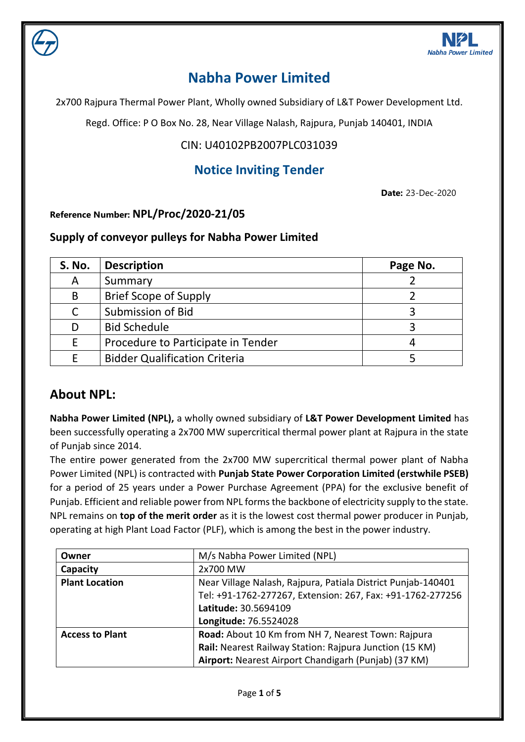

# **Nabha Power Limited**

2x700 Rajpura Thermal Power Plant, Wholly owned Subsidiary of L&T Power Development Ltd.

Regd. Office: P O Box No. 28, Near Village Nalash, Rajpura, Punjab 140401, INDIA

### CIN: U40102PB2007PLC031039

### **Notice Inviting Tender**

**Date:** 23-Dec-2020

#### **Reference Number: NPL/Proc/2020-21/05**

#### **Supply of conveyor pulleys for Nabha Power Limited**

| <b>S. No.</b> | <b>Description</b>                   | Page No. |
|---------------|--------------------------------------|----------|
| Α             | Summary                              |          |
| B             | <b>Brief Scope of Supply</b>         |          |
| C             | Submission of Bid                    |          |
| D             | <b>Bid Schedule</b>                  |          |
| E             | Procedure to Participate in Tender   |          |
|               | <b>Bidder Qualification Criteria</b> |          |

### **About NPL:**

**Nabha Power Limited (NPL),** a wholly owned subsidiary of **L&T Power Development Limited** has been successfully operating a 2x700 MW supercritical thermal power plant at Rajpura in the state of Punjab since 2014.

The entire power generated from the 2x700 MW supercritical thermal power plant of Nabha Power Limited (NPL) is contracted with **Punjab State Power Corporation Limited (erstwhile PSEB)** for a period of 25 years under a Power Purchase Agreement (PPA) for the exclusive benefit of Punjab. Efficient and reliable power from NPL forms the backbone of electricity supply to the state. NPL remains on **top of the merit order** as it is the lowest cost thermal power producer in Punjab, operating at high Plant Load Factor (PLF), which is among the best in the power industry.

| Owner                  | M/s Nabha Power Limited (NPL)                                |  |
|------------------------|--------------------------------------------------------------|--|
| Capacity               | 2x700 MW                                                     |  |
| <b>Plant Location</b>  | Near Village Nalash, Rajpura, Patiala District Punjab-140401 |  |
|                        | Tel: +91-1762-277267, Extension: 267, Fax: +91-1762-277256   |  |
|                        | Latitude: 30.5694109                                         |  |
|                        | Longitude: 76.5524028                                        |  |
| <b>Access to Plant</b> | Road: About 10 Km from NH 7, Nearest Town: Rajpura           |  |
|                        | Rail: Nearest Railway Station: Rajpura Junction (15 KM)      |  |
|                        | Airport: Nearest Airport Chandigarh (Punjab) (37 KM)         |  |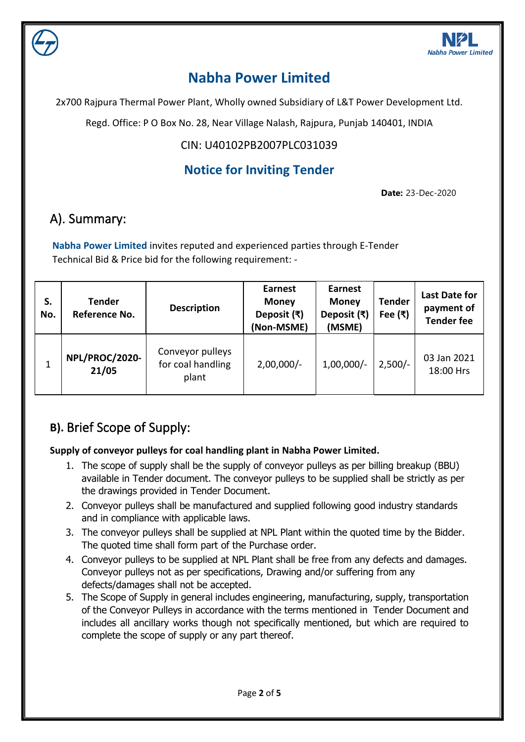

# **Nabha Power Limited**

2x700 Rajpura Thermal Power Plant, Wholly owned Subsidiary of L&T Power Development Ltd.

Regd. Office: P O Box No. 28, Near Village Nalash, Rajpura, Punjab 140401, INDIA

### CIN: U40102PB2007PLC031039

## **Notice for Inviting Tender**

**Date:** 23-Dec-2020

## A). Summary:

**Nabha Power Limited** invites reputed and experienced parties through E-Tender Technical Bid & Price bid for the following requirement: -

| S.<br>No. | <b>Tender</b><br>Reference No. | <b>Description</b>                             | <b>Earnest</b><br><b>Money</b><br>Deposit $(\bar{x})$<br>(Non-MSME) | <b>Earnest</b><br><b>Money</b><br>Deposit (₹)<br>(MSME) | <b>Tender</b><br>Fee $(\bar{x})$ | <b>Last Date for</b><br>payment of<br><b>Tender fee</b> |
|-----------|--------------------------------|------------------------------------------------|---------------------------------------------------------------------|---------------------------------------------------------|----------------------------------|---------------------------------------------------------|
|           | NPL/PROC/2020-<br>21/05        | Conveyor pulleys<br>for coal handling<br>plant | $2,00,000/-$                                                        | $1,00,000/-$                                            | $2,500/-$                        | 03 Jan 2021<br>18:00 Hrs                                |

## **B).** Brief Scope of Supply:

### **Supply of conveyor pulleys for coal handling plant in Nabha Power Limited.**

- 1. The scope of supply shall be the supply of conveyor pulleys as per billing breakup (BBU) available in Tender document. The conveyor pulleys to be supplied shall be strictly as per the drawings provided in Tender Document.
- 2. Conveyor pulleys shall be manufactured and supplied following good industry standards and in compliance with applicable laws.
- 3. The conveyor pulleys shall be supplied at NPL Plant within the quoted time by the Bidder. The quoted time shall form part of the Purchase order.
- 4. Conveyor pulleys to be supplied at NPL Plant shall be free from any defects and damages. Conveyor pulleys not as per specifications, Drawing and/or suffering from any defects/damages shall not be accepted.
- 5. The Scope of Supply in general includes engineering, manufacturing, supply, transportation of the Conveyor Pulleys in accordance with the terms mentioned in Tender Document and includes all ancillary works though not specifically mentioned, but which are required to complete the scope of supply or any part thereof.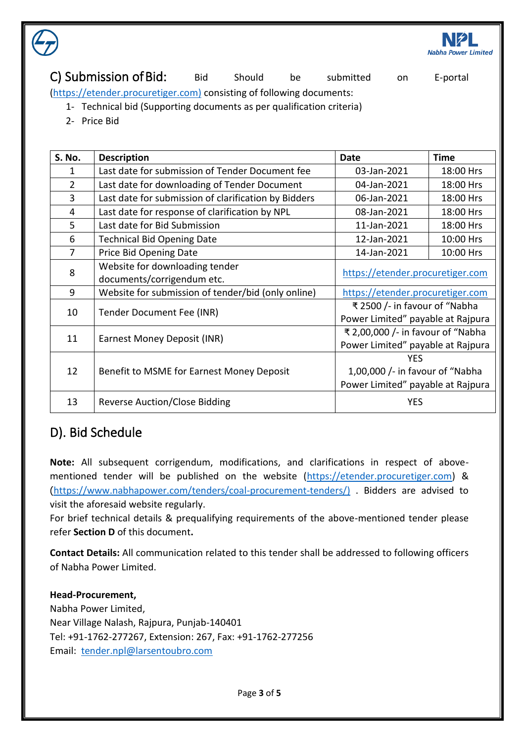

C) Submission of Bid: Bid Should be submitted on E-portal [\(https://etender.procuretiger.com\)](https://etender.procuretiger.com/) consisting of following documents:

- 1- Technical bid (Supporting documents as per qualification criteria)
- 2- Price Bid

| <b>S. No.</b>  | <b>Description</b>                                   | Date                              | <b>Time</b> |  |
|----------------|------------------------------------------------------|-----------------------------------|-------------|--|
| 1              | Last date for submission of Tender Document fee      | 03-Jan-2021<br>18:00 Hrs          |             |  |
| $\overline{2}$ | Last date for downloading of Tender Document         | 04-Jan-2021<br>18:00 Hrs          |             |  |
| 3              | Last date for submission of clarification by Bidders | 06-Jan-2021<br>18:00 Hrs          |             |  |
| 4              | Last date for response of clarification by NPL       | 08-Jan-2021<br>18:00 Hrs          |             |  |
| 5              | Last date for Bid Submission                         | 11-Jan-2021<br>18:00 Hrs          |             |  |
| 6              | <b>Technical Bid Opening Date</b>                    | 10:00 Hrs<br>12-Jan-2021          |             |  |
| 7              | Price Bid Opening Date                               | 14-Jan-2021                       | 10:00 Hrs   |  |
| 8              | Website for downloading tender                       | https://etender.procuretiger.com  |             |  |
|                | documents/corrigendum etc.                           |                                   |             |  |
| 9              | Website for submission of tender/bid (only online)   | https://etender.procuretiger.com  |             |  |
| 10             | Tender Document Fee (INR)                            | ₹ 2500 /- in favour of "Nabha     |             |  |
|                |                                                      | Power Limited" payable at Rajpura |             |  |
| 11             | Earnest Money Deposit (INR)                          | ₹ 2,00,000 /- in favour of "Nabha |             |  |
|                |                                                      | Power Limited" payable at Rajpura |             |  |
| 12             | Benefit to MSME for Earnest Money Deposit            | <b>YES</b>                        |             |  |
|                |                                                      | 1,00,000 /- in favour of "Nabha   |             |  |
|                |                                                      | Power Limited" payable at Rajpura |             |  |
| 13             | <b>Reverse Auction/Close Bidding</b>                 | <b>YES</b>                        |             |  |

### D). Bid Schedule

**Note:** All subsequent corrigendum, modifications, and clarifications in respect of abovementioned tender will be published on the website [\(https://etender.procuretiger.com\)](https://etender.procuretiger.com/) & (https://www.nabhapower.com/tenders/coal-procurement-tenders/) . Bidders are advised to visit the aforesaid website regularly.

For brief technical details & prequalifying requirements of the above-mentioned tender please refer **Section D** of this document**.**

**Contact Details:** All communication related to this tender shall be addressed to following officers of Nabha Power Limited.

#### **Head-Procurement,**

Nabha Power Limited, Near Village Nalash, Rajpura, Punjab-140401 Tel: +91-1762-277267, Extension: 267, Fax: +91-1762-277256 Email: [tender.npl@larsentoubro.com](mailto:tender.npl@larsentoubro.com)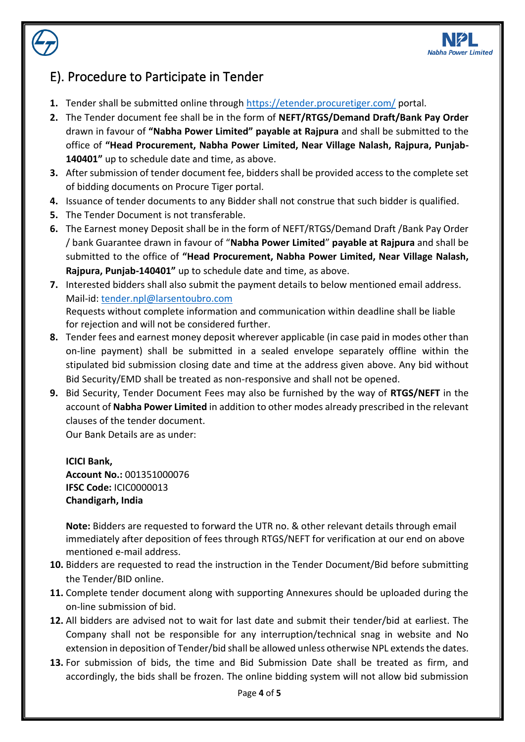

## E). Procedure to Participate in Tender

- **1.** Tender shall be submitted online through<https://etender.procuretiger.com/> portal.
- **2.** The Tender document fee shall be in the form of **NEFT/RTGS/Demand Draft/Bank Pay Order** drawn in favour of **"Nabha Power Limited" payable at Rajpura** and shall be submitted to the office of **"Head Procurement, Nabha Power Limited, Near Village Nalash, Rajpura, Punjab-140401"** up to schedule date and time, as above.
- **3.** After submission of tender document fee, bidders shall be provided access to the complete set of bidding documents on Procure Tiger portal.
- **4.** Issuance of tender documents to any Bidder shall not construe that such bidder is qualified.
- **5.** The Tender Document is not transferable.
- **6.** The Earnest money Deposit shall be in the form of NEFT/RTGS/Demand Draft /Bank Pay Order / bank Guarantee drawn in favour of "**Nabha Power Limited**" **payable at Rajpura** and shall be submitted to the office of **"Head Procurement, Nabha Power Limited, Near Village Nalash, Rajpura, Punjab-140401"** up to schedule date and time, as above.
- **7.** Interested bidders shall also submit the payment details to below mentioned email address. Mail-id: [tender.npl@larsentoubro.com](mailto:tender.npl@larsentoubro.com) Requests without complete information and communication within deadline shall be liable for rejection and will not be considered further.
- **8.** Tender fees and earnest money deposit wherever applicable (in case paid in modes other than on-line payment) shall be submitted in a sealed envelope separately offline within the stipulated bid submission closing date and time at the address given above. Any bid without Bid Security/EMD shall be treated as non-responsive and shall not be opened.
- **9.** Bid Security, Tender Document Fees may also be furnished by the way of **RTGS/NEFT** in the account of **Nabha Power Limited** in addition to other modes already prescribed in the relevant clauses of the tender document.

Our Bank Details are as under:

**ICICI Bank, Account No.:** 001351000076 **IFSC Code:** ICIC0000013 **Chandigarh, India**

**Note:** Bidders are requested to forward the UTR no. & other relevant details through email immediately after deposition of fees through RTGS/NEFT for verification at our end on above mentioned e-mail address.

- **10.** Bidders are requested to read the instruction in the Tender Document/Bid before submitting the Tender/BID online.
- **11.** Complete tender document along with supporting Annexures should be uploaded during the on-line submission of bid.
- **12.** All bidders are advised not to wait for last date and submit their tender/bid at earliest. The Company shall not be responsible for any interruption/technical snag in website and No extension in deposition of Tender/bid shall be allowed unless otherwise NPL extends the dates.
- **13.** For submission of bids, the time and Bid Submission Date shall be treated as firm, and accordingly, the bids shall be frozen. The online bidding system will not allow bid submission